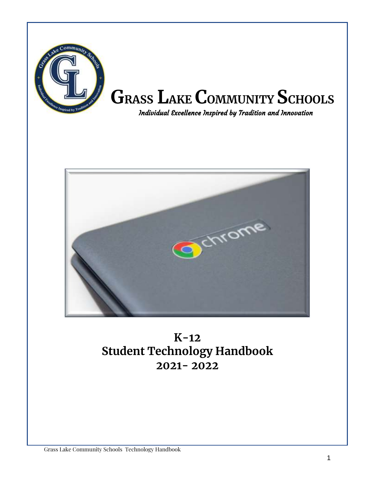



## **K-12 Student Technology Handbook 2021- 2022**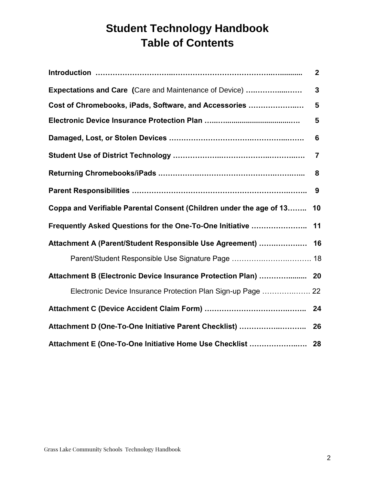## **Student Technology Handbook Table of Contents**

|                                                                     | $\overline{2}$ |
|---------------------------------------------------------------------|----------------|
| <b>Expectations and Care (Care and Maintenance of Device) </b>      | $\overline{3}$ |
| Cost of Chromebooks, iPads, Software, and Accessories               | 5              |
|                                                                     | 5              |
|                                                                     | 6              |
|                                                                     | $\overline{7}$ |
|                                                                     | 8              |
|                                                                     | 9              |
| Coppa and Verifiable Parental Consent (Children under the age of 13 | 10             |
| Frequently Asked Questions for the One-To-One Initiative  11        |                |
| Attachment A (Parent/Student Responsible Use Agreement)  16         |                |
| Parent/Student Responsible Use Signature Page  18                   |                |
| Attachment B (Electronic Device Insurance Protection Plan)  20      |                |
| Electronic Device Insurance Protection Plan Sign-up Page  22        |                |
|                                                                     |                |
|                                                                     |                |
|                                                                     |                |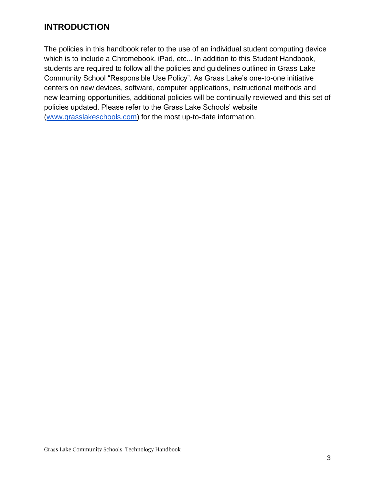#### **INTRODUCTION**

The policies in this handbook refer to the use of an individual student computing device which is to include a Chromebook, iPad, etc... In addition to this Student Handbook, students are required to follow all the policies and guidelines outlined in Grass Lake Community School "Responsible Use Policy". As Grass Lake's one-to-one initiative centers on new devices, software, computer applications, instructional methods and new learning opportunities, additional policies will be continually reviewed and this set of policies updated. Please refer to the Grass Lake Schools' website (www.grasslakeschools.com) for the most up-to-date information.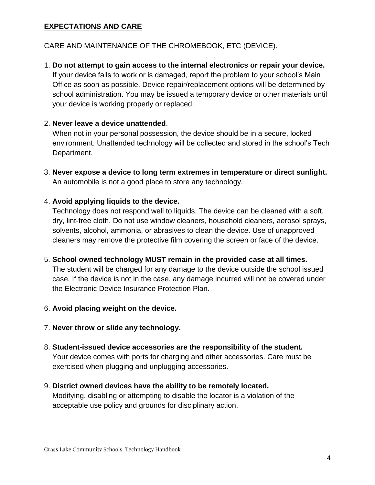#### **EXPECTATIONS AND CARE**

CARE AND MAINTENANCE OF THE CHROMEBOOK, ETC (DEVICE).

1. **Do not attempt to gain access to the internal electronics or repair your device.** If your device fails to work or is damaged, report the problem to your school's Main Office as soon as possible. Device repair/replacement options will be determined by school administration. You may be issued a temporary device or other materials until your device is working properly or replaced.

#### 2. **Never leave a device unattended**.

When not in your personal possession, the device should be in a secure, locked environment. Unattended technology will be collected and stored in the school's Tech Department.

3. **Never expose a device to long term extremes in temperature or direct sunlight.** An automobile is not a good place to store any technology.

#### 4. **Avoid applying liquids to the device.**

Technology does not respond well to liquids. The device can be cleaned with a soft, dry, lint-free cloth. Do not use window cleaners, household cleaners, aerosol sprays, solvents, alcohol, ammonia, or abrasives to clean the device. Use of unapproved cleaners may remove the protective film covering the screen or face of the device.

5. **School owned technology MUST remain in the provided case at all times.**

The student will be charged for any damage to the device outside the school issued case. If the device is not in the case, any damage incurred will not be covered under the Electronic Device Insurance Protection Plan.

#### 6. **Avoid placing weight on the device.**

- 7. **Never throw or slide any technology.**
- 8. **Student-issued device accessories are the responsibility of the student.** Your device comes with ports for charging and other accessories. Care must be exercised when plugging and unplugging accessories.
- 9. **District owned devices have the ability to be remotely located.** Modifying, disabling or attempting to disable the locator is a violation of the acceptable use policy and grounds for disciplinary action.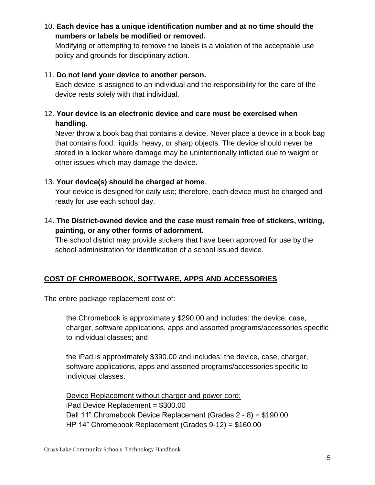10. **Each device has a unique identification number and at no time should the numbers or labels be modified or removed.**

Modifying or attempting to remove the labels is a violation of the acceptable use policy and grounds for disciplinary action.

#### 11. **Do not lend your device to another person.**

Each device is assigned to an individual and the responsibility for the care of the device rests solely with that individual.

#### 12. **Your device is an electronic device and care must be exercised when handling.**

Never throw a book bag that contains a device. Never place a device in a book bag that contains food, liquids, heavy, or sharp objects. The device should never be stored in a locker where damage may be unintentionally inflicted due to weight or other issues which may damage the device.

#### 13. **Your device(s) should be charged at home**.

Your device is designed for daily use; therefore, each device must be charged and ready for use each school day.

14. **The District-owned device and the case must remain free of stickers, writing, painting, or any other forms of adornment.** 

The school district may provide stickers that have been approved for use by the school administration for identification of a school issued device.

#### **COST OF CHROMEBOOK, SOFTWARE, APPS AND ACCESSORIES**

The entire package replacement cost of:

the Chromebook is approximately \$290.00 and includes: the device, case, charger, software applications, apps and assorted programs/accessories specific to individual classes; and

the iPad is approximately \$390.00 and includes: the device, case, charger, software applications, apps and assorted programs/accessories specific to individual classes.

Device Replacement without charger and power cord: iPad Device Replacement = \$300.00 Dell 11" Chromebook Device Replacement (Grades 2 - 8) = \$190.00 HP 14" Chromebook Replacement (Grades 9-12) = \$160.00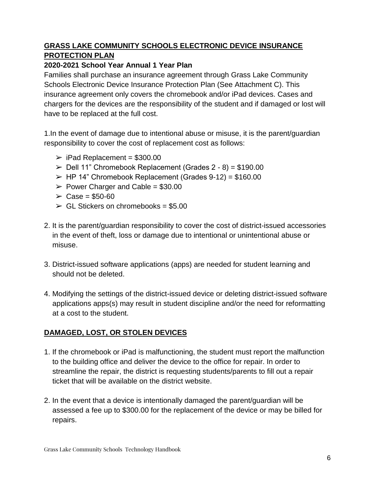#### **GRASS LAKE COMMUNITY SCHOOLS ELECTRONIC DEVICE INSURANCE PROTECTION PLAN**

#### **2020-2021 School Year Annual 1 Year Plan**

Families shall purchase an insurance agreement through Grass Lake Community Schools Electronic Device Insurance Protection Plan (See Attachment C). This insurance agreement only covers the chromebook and/or iPad devices. Cases and chargers for the devices are the responsibility of the student and if damaged or lost will have to be replaced at the full cost.

1.In the event of damage due to intentional abuse or misuse, it is the parent/guardian responsibility to cover the cost of replacement cost as follows:

- $\triangleright$  iPad Replacement = \$300.00
- $\ge$  Dell 11" Chromebook Replacement (Grades 2 8) = \$190.00
- $\triangleright$  HP 14" Chromebook Replacement (Grades 9-12) = \$160.00
- $\geq$  Power Charger and Cable = \$30.00
- $\geq$  Case = \$50-60
- $\ge$  GL Stickers on chromebooks = \$5.00
- 2. It is the parent/guardian responsibility to cover the cost of district-issued accessories in the event of theft, loss or damage due to intentional or unintentional abuse or misuse.
- 3. District-issued software applications (apps) are needed for student learning and should not be deleted.
- 4. Modifying the settings of the district-issued device or deleting district-issued software applications apps(s) may result in student discipline and/or the need for reformatting at a cost to the student.

#### **DAMAGED, LOST, OR STOLEN DEVICES**

- 1. If the chromebook or iPad is malfunctioning, the student must report the malfunction to the building office and deliver the device to the office for repair. In order to streamline the repair, the district is requesting students/parents to fill out a repair ticket that will be available on the district website.
- 2. In the event that a device is intentionally damaged the parent/guardian will be assessed a fee up to \$300.00 for the replacement of the device or may be billed for repairs.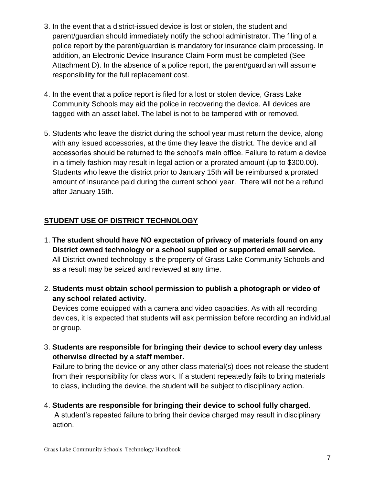- 3. In the event that a district-issued device is lost or stolen, the student and parent/guardian should immediately notify the school administrator. The filing of a police report by the parent/guardian is mandatory for insurance claim processing. In addition, an Electronic Device Insurance Claim Form must be completed (See Attachment D). In the absence of a police report, the parent/guardian will assume responsibility for the full replacement cost.
- 4. In the event that a police report is filed for a lost or stolen device, Grass Lake Community Schools may aid the police in recovering the device. All devices are tagged with an asset label. The label is not to be tampered with or removed.
- 5. Students who leave the district during the school year must return the device, along with any issued accessories, at the time they leave the district. The device and all accessories should be returned to the school's main office. Failure to return a device in a timely fashion may result in legal action or a prorated amount (up to \$300.00). Students who leave the district prior to January 15th will be reimbursed a prorated amount of insurance paid during the current school year. There will not be a refund after January 15th.

#### **STUDENT USE OF DISTRICT TECHNOLOGY**

- 1. **The student should have NO expectation of privacy of materials found on any District owned technology or a school supplied or supported email service.** All District owned technology is the property of Grass Lake Community Schools and as a result may be seized and reviewed at any time.
- 2. **Students must obtain school permission to publish a photograph or video of any school related activity.**

Devices come equipped with a camera and video capacities. As with all recording devices, it is expected that students will ask permission before recording an individual or group.

3. **Students are responsible for bringing their device to school every day unless otherwise directed by a staff member.** 

Failure to bring the device or any other class material(s) does not release the student from their responsibility for class work. If a student repeatedly fails to bring materials to class, including the device, the student will be subject to disciplinary action.

4. **Students are responsible for bringing their device to school fully charged**. A student's repeated failure to bring their device charged may result in disciplinary action.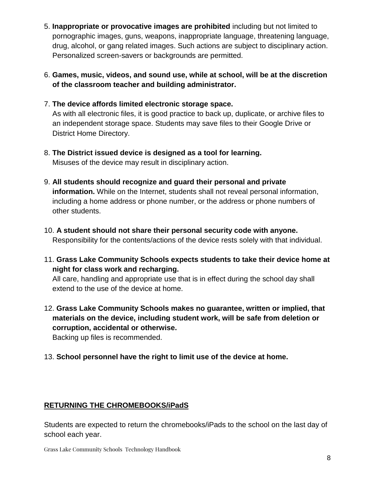- 5. **Inappropriate or provocative images are prohibited** including but not limited to pornographic images, guns, weapons, inappropriate language, threatening language, drug, alcohol, or gang related images. Such actions are subject to disciplinary action. Personalized screen-savers or backgrounds are permitted.
- 6. **Games, music, videos, and sound use, while at school, will be at the discretion of the classroom teacher and building administrator.**
- 7. **The device affords limited electronic storage space.**

As with all electronic files, it is good practice to back up, duplicate, or archive files to an independent storage space. Students may save files to their Google Drive or District Home Directory.

- 8. **The District issued device is designed as a tool for learning.**  Misuses of the device may result in disciplinary action.
- 9. **All students should recognize and guard their personal and private information.** While on the Internet, students shall not reveal personal information, including a home address or phone number, or the address or phone numbers of other students.
- 10. **A student should not share their personal security code with anyone.** Responsibility for the contents/actions of the device rests solely with that individual.
- 11. **Grass Lake Community Schools expects students to take their device home at night for class work and recharging.**

All care, handling and appropriate use that is in effect during the school day shall extend to the use of the device at home.

12. **Grass Lake Community Schools makes no guarantee, written or implied, that materials on the device, including student work, will be safe from deletion or corruption, accidental or otherwise.** 

Backing up files is recommended.

13. **School personnel have the right to limit use of the device at home.**

#### **RETURNING THE CHROMEBOOKS/iPadS**

Students are expected to return the chromebooks/iPads to the school on the last day of school each year.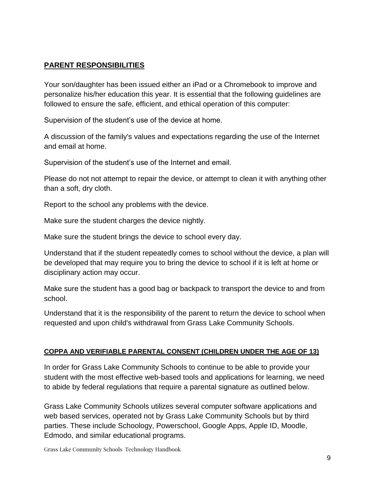#### **PARENT RESPONSIBILITIES**

Your son/daughter has been issued either an iPad or a Chromebook to improve and personalize his/her education this year. It is essential that the following guidelines are followed to ensure the safe, efficient, and ethical operation of this computer:

Supervision of the student's use of the device at home.

A discussion of the family's values and expectations regarding the use of the Internet and email at home.

Supervision of the student's use of the Internet and email.

Please do not not attempt to repair the device, or attempt to clean it with anything other than a soft, dry cloth.

Report to the school any problems with the device.

Make sure the student charges the device nightly.

Make sure the student brings the device to school every day.

Understand that if the student repeatedly comes to school without the device, a plan will be developed that may require you to bring the device to school if it is left at home or disciplinary action may occur.

Make sure the student has a good bag or backpack to transport the device to and from school.

Understand that it is the responsibility of the parent to return the device to school when requested and upon child's withdrawal from Grass Lake Community Schools.

#### **COPPA AND VERIFIABLE PARENTAL CONSENT (CHILDREN UNDER THE AGE OF 13)**

In order for Grass Lake Community Schools to continue to be able to provide your student with the most effective web-based tools and applications for learning, we need to abide by federal regulations that require a parental signature as outlined below.

Grass Lake Community Schools utilizes several computer software applications and web based services, operated not by Grass Lake Community Schools but by third parties. These include Schoology, Powerschool, Google Apps, Apple ID, Moodle, Edmodo, and similar educational programs.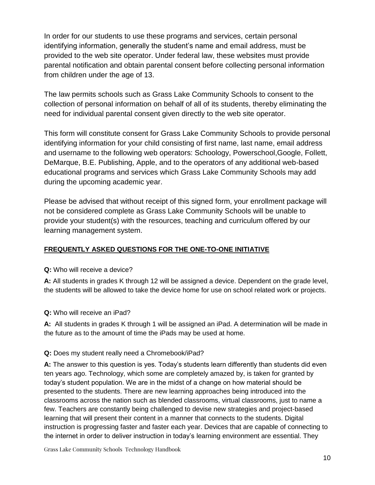In order for our students to use these programs and services, certain personal identifying information, generally the student's name and email address, must be provided to the web site operator. Under federal law, these websites must provide parental notification and obtain parental consent before collecting personal information from children under the age of 13.

The law permits schools such as Grass Lake Community Schools to consent to the collection of personal information on behalf of all of its students, thereby eliminating the need for individual parental consent given directly to the web site operator.

This form will constitute consent for Grass Lake Community Schools to provide personal identifying information for your child consisting of first name, last name, email address and username to the following web operators: Schoology, Powerschool,Google, Follett, DeMarque, B.E. Publishing, Apple, and to the operators of any additional web-based educational programs and services which Grass Lake Community Schools may add during the upcoming academic year.

Please be advised that without receipt of this signed form, your enrollment package will not be considered complete as Grass Lake Community Schools will be unable to provide your student(s) with the resources, teaching and curriculum offered by our learning management system.

#### **FREQUENTLY ASKED QUESTIONS FOR THE ONE-TO-ONE INITIATIVE**

**Q:** Who will receive a device?

**A:** All students in grades K through 12 will be assigned a device. Dependent on the grade level, the students will be allowed to take the device home for use on school related work or projects.

**Q:** Who will receive an iPad?

**A:** All students in grades K through 1 will be assigned an iPad. A determination will be made in the future as to the amount of time the iPads may be used at home.

#### **Q:** Does my student really need a Chromebook/iPad?

**A:** The answer to this question is yes. Today's students learn differently than students did even ten years ago. Technology, which some are completely amazed by, is taken for granted by today's student population. We are in the midst of a change on how material should be presented to the students. There are new learning approaches being introduced into the classrooms across the nation such as blended classrooms, virtual classrooms, just to name a few. Teachers are constantly being challenged to devise new strategies and project-based learning that will present their content in a manner that connects to the students. Digital instruction is progressing faster and faster each year. Devices that are capable of connecting to the internet in order to deliver instruction in today's learning environment are essential. They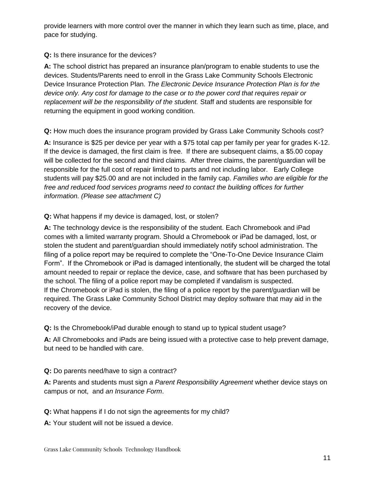provide learners with more control over the manner in which they learn such as time, place, and pace for studying.

#### **Q:** Is there insurance for the devices?

**A:** The school district has prepared an insurance plan/program to enable students to use the devices. Students/Parents need to enroll in the Grass Lake Community Schools Electronic Device Insurance Protection Plan. *The Electronic Device Insurance Protection Plan is for the device only. Any cost for damage to the case or to the power cord that requires repair or replacement will be the responsibility of the student.* Staff and students are responsible for returning the equipment in good working condition.

**Q:** How much does the insurance program provided by Grass Lake Community Schools cost?

**A:** Insurance is \$25 per device per year with a \$75 total cap per family per year for grades K-12. If the device is damaged, the first claim is free. If there are subsequent claims, a \$5.00 copay will be collected for the second and third claims. After three claims, the parent/guardian will be responsible for the full cost of repair limited to parts and not including labor. Early College students will pay \$25.00 and are not included in the family cap. *Families who are eligible for the free and reduced food services programs need to contact the building offices for further information. (Please see attachment C)*

#### **Q:** What happens if my device is damaged, lost, or stolen?

**A:** The technology device is the responsibility of the student. Each Chromebook and iPad comes with a limited warranty program. Should a Chromebook or iPad be damaged, lost, or stolen the student and parent/guardian should immediately notify school administration. The filing of a police report may be required to complete the "One-To-One Device Insurance Claim Form". If the Chromebook or iPad is damaged intentionally, the student will be charged the total amount needed to repair or replace the device, case, and software that has been purchased by the school. The filing of a police report may be completed if vandalism is suspected. If the Chromebook or iPad is stolen, the filing of a police report by the parent/guardian will be required. The Grass Lake Community School District may deploy software that may aid in the recovery of the device.

**Q:** Is the Chromebook/iPad durable enough to stand up to typical student usage?

**A:** All Chromebooks and iPads are being issued with a protective case to help prevent damage, but need to be handled with care.

#### **Q:** Do parents need/have to sign a contract?

**A:** Parents and students must sign *a Parent Responsibility Agreement* whether device stays on campus or not, and *an Insurance Form*.

**Q:** What happens if I do not sign the agreements for my child?

**A:** Your student will not be issued a device.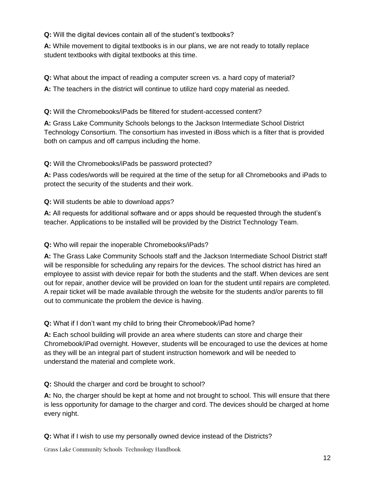**Q:** Will the digital devices contain all of the student's textbooks?

**A:** While movement to digital textbooks is in our plans, we are not ready to totally replace student textbooks with digital textbooks at this time.

**Q:** What about the impact of reading a computer screen vs. a hard copy of material?

**A:** The teachers in the district will continue to utilize hard copy material as needed.

#### **Q:** Will the Chromebooks/iPads be filtered for student-accessed content?

**A:** Grass Lake Community Schools belongs to the Jackson Intermediate School District Technology Consortium. The consortium has invested in iBoss which is a filter that is provided both on campus and off campus including the home.

**Q:** Will the Chromebooks/iPads be password protected?

**A:** Pass codes/words will be required at the time of the setup for all Chromebooks and iPads to protect the security of the students and their work.

**Q:** Will students be able to download apps?

**A:** All requests for additional software and or apps should be requested through the student's teacher. Applications to be installed will be provided by the District Technology Team.

#### **Q:** Who will repair the inoperable Chromebooks/iPads?

**A:** The Grass Lake Community Schools staff and the Jackson Intermediate School District staff will be responsible for scheduling any repairs for the devices. The school district has hired an employee to assist with device repair for both the students and the staff. When devices are sent out for repair, another device will be provided on loan for the student until repairs are completed. A repair ticket will be made available through the website for the students and/or parents to fill out to communicate the problem the device is having.

**Q:** What if I don't want my child to bring their Chromebook/iPad home?

**A:** Each school building will provide an area where students can store and charge their Chromebook/iPad overnight. However, students will be encouraged to use the devices at home as they will be an integral part of student instruction homework and will be needed to understand the material and complete work.

**Q:** Should the charger and cord be brought to school?

**A:** No, the charger should be kept at home and not brought to school. This will ensure that there is less opportunity for damage to the charger and cord. The devices should be charged at home every night.

**Q:** What if I wish to use my personally owned device instead of the Districts?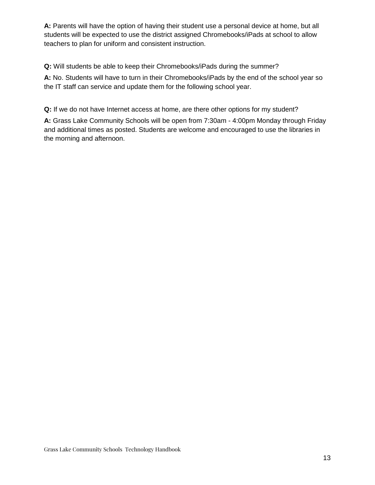**A:** Parents will have the option of having their student use a personal device at home, but all students will be expected to use the district assigned Chromebooks/iPads at school to allow teachers to plan for uniform and consistent instruction.

**Q:** Will students be able to keep their Chromebooks/iPads during the summer?

**A:** No. Students will have to turn in their Chromebooks/iPads by the end of the school year so the IT staff can service and update them for the following school year.

**Q:** If we do not have Internet access at home, are there other options for my student?

**A:** Grass Lake Community Schools will be open from 7:30am - 4:00pm Monday through Friday and additional times as posted. Students are welcome and encouraged to use the libraries in the morning and afternoon.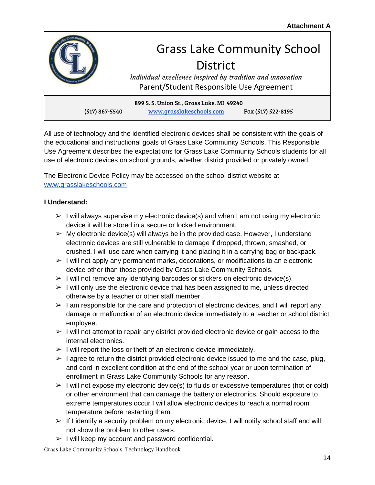

All use of technology and the identified electronic devices shall be consistent with the goals of the educational and instructional goals of Grass Lake Community Schools. This Responsible Use Agreement describes the expectations for Grass Lake Community Schools students for all use of electronic devices on school grounds, whether district provided or privately owned.

The Electronic Device Policy may be accessed on the school district website at www.grasslakeschools.com

#### **I Understand:**

- $\triangleright$  I will always supervise my electronic device(s) and when I am not using my electronic device it will be stored in a secure or locked environment.
- $\triangleright$  My electronic device(s) will always be in the provided case. However, I understand electronic devices are still vulnerable to damage if dropped, thrown, smashed, or crushed. I will use care when carrying it and placing it in a carrying bag or backpack.
- $\triangleright$  I will not apply any permanent marks, decorations, or modifications to an electronic device other than those provided by Grass Lake Community Schools.
- $\triangleright$  I will not remove any identifying barcodes or stickers on electronic device(s).
- $\triangleright$  I will only use the electronic device that has been assigned to me, unless directed otherwise by a teacher or other staff member.
- $\geq 1$  am responsible for the care and protection of electronic devices, and I will report any damage or malfunction of an electronic device immediately to a teacher or school district employee.
- $\triangleright$  I will not attempt to repair any district provided electronic device or gain access to the internal electronics.
- $\triangleright$  I will report the loss or theft of an electronic device immediately.
- $\triangleright$  I agree to return the district provided electronic device issued to me and the case, plug, and cord in excellent condition at the end of the school year or upon termination of enrollment in Grass Lake Community Schools for any reason.
- $\triangleright$  I will not expose my electronic device(s) to fluids or excessive temperatures (hot or cold) or other environment that can damage the battery or electronics. Should exposure to extreme temperatures occur I will allow electronic devices to reach a normal room temperature before restarting them.
- $\triangleright$  If I identify a security problem on my electronic device, I will notify school staff and will not show the problem to other users.
- $\triangleright$  I will keep my account and password confidential.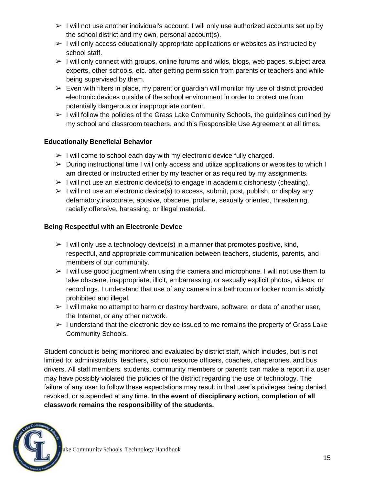- $\triangleright$  I will not use another individual's account. I will only use authorized accounts set up by the school district and my own, personal account(s).
- $\triangleright$  I will only access educationally appropriate applications or websites as instructed by school staff.
- $\triangleright$  I will only connect with groups, online forums and wikis, blogs, web pages, subject area experts, other schools, etc. after getting permission from parents or teachers and while being supervised by them.
- $\triangleright$  Even with filters in place, my parent or quardian will monitor my use of district provided electronic devices outside of the school environment in order to protect me from potentially dangerous or inappropriate content.
- $\triangleright$  I will follow the policies of the Grass Lake Community Schools, the quidelines outlined by my school and classroom teachers, and this Responsible Use Agreement at all times.

#### **Educationally Beneficial Behavior**

- $>$  I will come to school each day with my electronic device fully charged.
- $\triangleright$  During instructional time I will only access and utilize applications or websites to which I am directed or instructed either by my teacher or as required by my assignments.
- $\triangleright$  I will not use an electronic device(s) to engage in academic dishonesty (cheating).
- $\triangleright$  I will not use an electronic device(s) to access, submit, post, publish, or display any defamatory,inaccurate, abusive, obscene, profane, sexually oriented, threatening, racially offensive, harassing, or illegal material.

#### **Being Respectful with an Electronic Device**

- $\triangleright$  I will only use a technology device(s) in a manner that promotes positive, kind, respectful, and appropriate communication between teachers, students, parents, and members of our community.
- $\geq 1$  will use good judgment when using the camera and microphone. I will not use them to take obscene, inappropriate, illicit, embarrassing, or sexually explicit photos, videos, or recordings. I understand that use of any camera in a bathroom or locker room is strictly prohibited and illegal.
- $>$  I will make no attempt to harm or destroy hardware, software, or data of another user, the Internet, or any other network.
- $\geq 1$  understand that the electronic device issued to me remains the property of Grass Lake Community Schools.

Student conduct is being monitored and evaluated by district staff, which includes, but is not limited to: administrators, teachers, school resource officers, coaches, chaperones, and bus drivers. All staff members, students, community members or parents can make a report if a user may have possibly violated the policies of the district regarding the use of technology. The failure of any user to follow these expectations may result in that user's privileges being denied, revoked, or suspended at any time. **In the event of disciplinary action, completion of all classwork remains the responsibility of the students.**

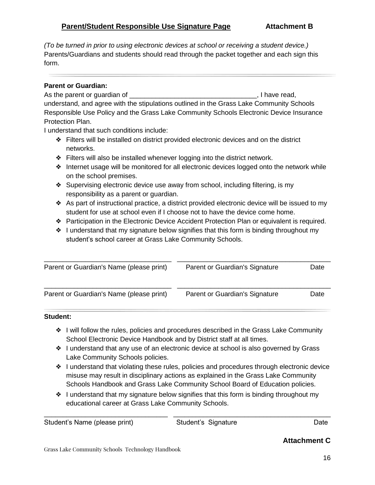*(To be turned in prior to using electronic devices at school or receiving a student device.)* Parents/Guardians and students should read through the packet together and each sign this form.

#### **Parent or Guardian:**

As the parent or guardian of \_\_\_\_\_\_\_\_\_\_\_\_\_\_\_\_\_\_\_\_\_\_\_\_\_\_\_\_\_\_\_\_\_\_, I have read, understand, and agree with the stipulations outlined in the Grass Lake Community Schools Responsible Use Policy and the Grass Lake Community Schools Electronic Device Insurance Protection Plan.

I understand that such conditions include:

- ❖ Filters will be installed on district provided electronic devices and on the district networks.
- ❖ Filters will also be installed whenever logging into the district network.
- ❖ Internet usage will be monitored for all electronic devices logged onto the network while on the school premises.
- ❖ Supervising electronic device use away from school, including filtering, is my responsibility as a parent or guardian.
- ❖ As part of instructional practice, a district provided electronic device will be issued to my student for use at school even if I choose not to have the device come home.
- ❖ Participation in the Electronic Device Accident Protection Plan or equivalent is required.
- ❖ I understand that my signature below signifies that this form is binding throughout my student's school career at Grass Lake Community Schools.

| Parent or Guardian's Name (please print) | Parent or Guardian's Signature | Date |
|------------------------------------------|--------------------------------|------|
| Parent or Guardian's Name (please print) | Parent or Guardian's Signature | Date |

#### **Student:**

- ❖ I will follow the rules, policies and procedures described in the Grass Lake Community School Electronic Device Handbook and by District staff at all times.
- ❖ I understand that any use of an electronic device at school is also governed by Grass Lake Community Schools policies.
- ❖ I understand that violating these rules, policies and procedures through electronic device misuse may result in disciplinary actions as explained in the Grass Lake Community Schools Handbook and Grass Lake Community School Board of Education policies.
- ❖ I understand that my signature below signifies that this form is binding throughout my educational career at Grass Lake Community Schools.

\_\_\_\_\_\_\_\_\_\_\_\_\_\_\_\_\_\_\_\_\_\_\_\_\_\_\_\_\_\_\_\_\_ \_\_\_\_\_\_\_\_\_\_\_\_\_\_\_\_\_\_\_\_\_\_\_\_\_\_\_\_\_\_\_\_\_\_\_\_\_\_\_\_\_\_

Student's Name (please print) Student's Signature Case of Date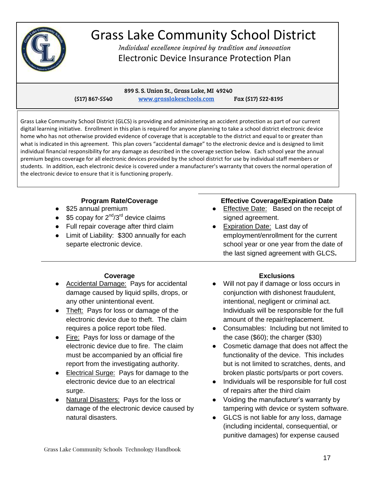

# Grass Lake Community School District

Individual excellence inspired by tradition and innovation Electronic Device Insurance Protection Plan

 899 S. S. Union St., Grass Lake, MI 49240 (517) 867-5540 www.grasslakeschools.com Fax (517) 522-8195

Grass Lake Community School District (GLCS) is providing and administering an accident protection as part of our current digital learning initiative. Enrollment in this plan is required for anyone planning to take a school district electronic device home who has not otherwise provided evidence of coverage that is acceptable to the district and equal to or greater than what is indicated in this agreement. This plan covers "accidental damage" to the electronic device and is designed to limit individual financial responsibility for any damage as described in the coverage section below. Each school year the annual premium begins coverage for all electronic devices provided by the school district for use by individual staff members or students.In addition, each electronic device is covered under a manufacturer's warranty that covers the normal operation of the electronic device to ensure that it is functioning properly.

#### **Program Rate/Coverage**

- \$25 annual premium
- \$5 copay for  $2^{nd}/3^{rd}$  device claims
- Full repair coverage after third claim
- Limit of Liability: \$300 annually for each separte electronic device.

#### **Effective Coverage/Expiration Date**

- Effective Date: Based on the receipt of signed agreement.
- **Expiration Date: Last day of** employment/enrollment for the current school year or one year from the date of the last signed agreement with GLCS**.**

#### **Coverage**

- Accidental Damage: Pays for accidental damage caused by liquid spills, drops, or any other unintentional event.
- Theft: Pays for loss or damage of the electronic device due to theft. The claim requires a police report tobe filed.
- Fire: Pays for loss or damage of the electronic device due to fire. The claim must be accompanied by an official fire report from the investigating authority.
- Electrical Surge: Pays for damage to the electronic device due to an electrical surge.
- Natural Disasters: Pays for the loss or damage of the electronic device caused by natural disasters.

#### **Exclusions**

- Will not pay if damage or loss occurs in conjunction with dishonest fraudulent, intentional, negligent or criminal act. Individuals will be responsible for the full amount of the repair/replacement.
- Consumables: Including but not limited to the case (\$60); the charger (\$30)
- Cosmetic damage that does not affect the functionality of the device. This includes but is not limited to scratches, dents, and broken plastic ports/parts or port covers.
- Individuals will be responsible for full cost of repairs after the third claim
- Voiding the manufacturer's warranty by tampering with device or system software.
- GLCS is not liable for any loss, damage (including incidental, consequential, or punitive damages) for expense caused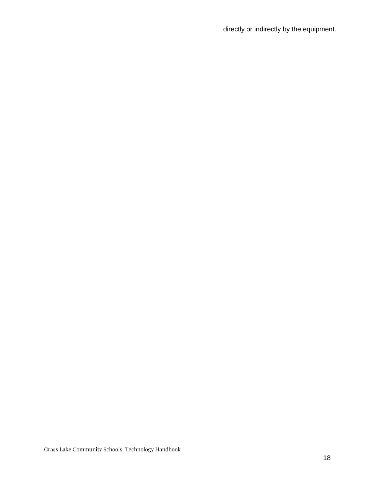directly or indirectly by the equipment.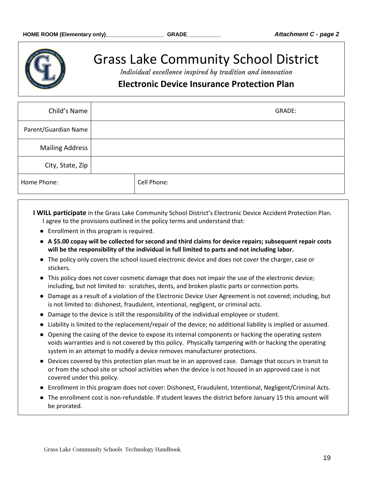

## Grass Lake Community School District

Individual excellence inspired by tradition and innovation

### **Electronic Device Insurance Protection Plan**

| Child's Name           | GRADE:      |
|------------------------|-------------|
| Parent/Guardian Name   |             |
| <b>Mailing Address</b> |             |
| City, State, Zip       |             |
| Home Phone:            | Cell Phone: |

**I WILL participate** in the Grass Lake Community School District's Electronic Device Accident Protection Plan. I agree to the provisions outlined in the policy terms and understand that:

- Enrollment in this program is required.
- **A \$5.00 copay will be collected for second and third claims for device repairs; subsequent repair costs will be the responsibility of the individual in full limited to parts and not including labor.**
- The policy only covers the school issued electronic device and does not cover the charger, case or stickers.
- This policy does not cover cosmetic damage that does not impair the use of the electronic device; including, but not limited to: scratches, dents, and broken plastic parts or connection ports.
- Damage as a result of a violation of the Electronic Device User Agreement is not covered; including, but is not limited to: dishonest, fraudulent, intentional, negligent, or criminal acts.
- Damage to the device is still the responsibility of the individual employee or student.
- Liability is limited to the replacement/repair of the device; no additional liability is implied or assumed.
- Opening the casing of the device to expose its internal components or hacking the operating system voids warranties and is not covered by this policy. Physically tampering with or hacking the operating system in an attempt to modify a device removes manufacturer protections.
- Devices covered by this protection plan must be in an approved case. Damage that occurs in transit to or from the school site or school activities when the device is not housed in an approved case is not covered under this policy.
- Enrollment in this program does not cover: Dishonest, Fraudulent, Intentional, Negligent/Criminal Acts.
- The enrollment cost is non-refundable. If student leaves the district before January 15 this amount will be prorated.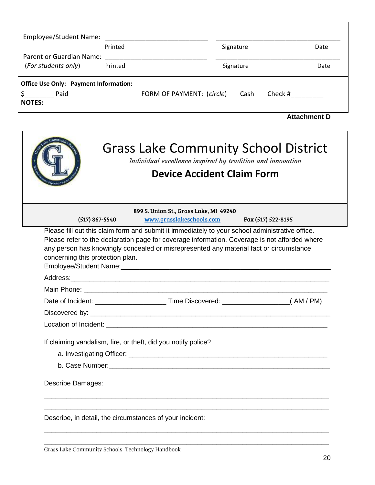| Employee/Student Name:                                                |         |                           |           |           |         |                     |
|-----------------------------------------------------------------------|---------|---------------------------|-----------|-----------|---------|---------------------|
|                                                                       | Printed |                           | Signature |           |         | Date                |
| Parent or Guardian Name:<br>(For students only)                       | Printed |                           |           | Signature |         | Date                |
| <b>Office Use Only: Payment Information:</b><br>Paid<br><b>NOTES:</b> |         | FORM OF PAYMENT: (circle) |           | Cash      | Check # |                     |
|                                                                       |         |                           |           |           |         | <b>Attachment D</b> |

|                                  | <b>Grass Lake Community School District</b><br>Individual excellence inspired by tradition and innovation<br><b>Device Accident Claim Form</b>                                                                                                                                             |                    |
|----------------------------------|--------------------------------------------------------------------------------------------------------------------------------------------------------------------------------------------------------------------------------------------------------------------------------------------|--------------------|
| (517) 867-5540                   | 899 S. Union St., Grass Lake, MI 49240<br>www.grasslakeschools.com                                                                                                                                                                                                                         | Fax (517) 522-8195 |
| concerning this protection plan. | Please fill out this claim form and submit it immediately to your school administrative office.<br>Please refer to the declaration page for coverage information. Coverage is not afforded where<br>any person has knowingly concealed or misrepresented any material fact or circumstance |                    |
|                                  |                                                                                                                                                                                                                                                                                            |                    |
|                                  |                                                                                                                                                                                                                                                                                            |                    |
|                                  |                                                                                                                                                                                                                                                                                            |                    |
|                                  |                                                                                                                                                                                                                                                                                            |                    |
|                                  |                                                                                                                                                                                                                                                                                            |                    |
|                                  | If claiming vandalism, fire, or theft, did you notify police?                                                                                                                                                                                                                              |                    |
|                                  |                                                                                                                                                                                                                                                                                            |                    |
|                                  |                                                                                                                                                                                                                                                                                            |                    |
| Describe Damages:                |                                                                                                                                                                                                                                                                                            |                    |
|                                  | Describe, in detail, the circumstances of your incident:                                                                                                                                                                                                                                   |                    |

\_\_\_\_\_\_\_\_\_\_\_\_\_\_\_\_\_\_\_\_\_\_\_\_\_\_\_\_\_\_\_\_\_\_\_\_\_\_\_\_\_\_\_\_\_\_\_\_\_\_\_\_\_\_\_\_\_\_\_\_\_\_\_\_\_\_\_\_\_\_\_\_\_\_\_\_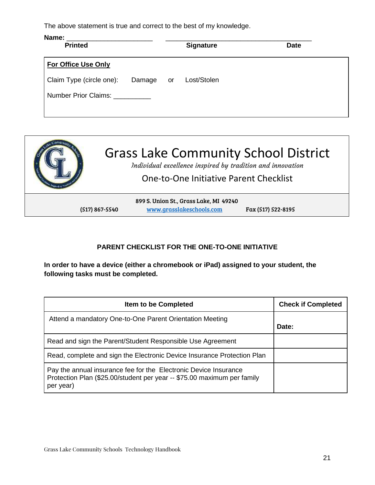The above statement is true and correct to the best of my knowledge.

| Name:<br><b>Printed</b>         |           | <b>Signature</b> | <b>Date</b> |
|---------------------------------|-----------|------------------|-------------|
| <b>For Office Use Only</b>      |           |                  |             |
| Claim Type (circle one):        | Damage or | Lost/Stolen      |             |
| Number Prior Claims: __________ |           |                  |             |
|                                 |           |                  |             |



#### **PARENT CHECKLIST FOR THE ONE-TO-ONE INITIATIVE**

**In order to have a device (either a chromebook or iPad) assigned to your student, the following tasks must be completed.** 

| <b>Item to be Completed</b>                                                                                                                              | <b>Check if Completed</b> |
|----------------------------------------------------------------------------------------------------------------------------------------------------------|---------------------------|
| Attend a mandatory One-to-One Parent Orientation Meeting                                                                                                 | Date:                     |
| Read and sign the Parent/Student Responsible Use Agreement                                                                                               |                           |
| Read, complete and sign the Electronic Device Insurance Protection Plan                                                                                  |                           |
| Pay the annual insurance fee for the Electronic Device Insurance<br>Protection Plan (\$25.00/student per year -- \$75.00 maximum per family<br>per year) |                           |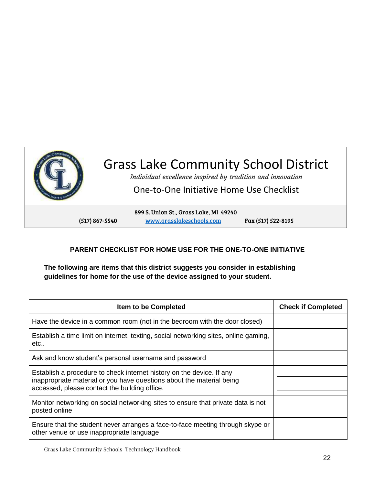

# Grass Lake Community School District

Individual excellence inspired by tradition and innovation

One-to-One Initiative Home Use Checklist

899 S. Union St., Grass Lake, MI 49240 (517) 867-5540 www.grasslakeschools.com Fax (517) 522-8195

#### **PARENT CHECKLIST FOR HOME USE FOR THE ONE-TO-ONE INITIATIVE**

**The following are items that this district suggests you consider in establishing guidelines for home for the use of the device assigned to your student.** 

| <b>Item to be Completed</b>                                                                                                                                                                     | <b>Check if Completed</b> |
|-------------------------------------------------------------------------------------------------------------------------------------------------------------------------------------------------|---------------------------|
| Have the device in a common room (not in the bedroom with the door closed)                                                                                                                      |                           |
| Establish a time limit on internet, texting, social networking sites, online gaming,<br>etc                                                                                                     |                           |
| Ask and know student's personal username and password                                                                                                                                           |                           |
| Establish a procedure to check internet history on the device. If any<br>inappropriate material or you have questions about the material being<br>accessed, please contact the building office. |                           |
| Monitor networking on social networking sites to ensure that private data is not<br>posted online                                                                                               |                           |
| Ensure that the student never arranges a face-to-face meeting through skype or<br>other venue or use inappropriate language                                                                     |                           |